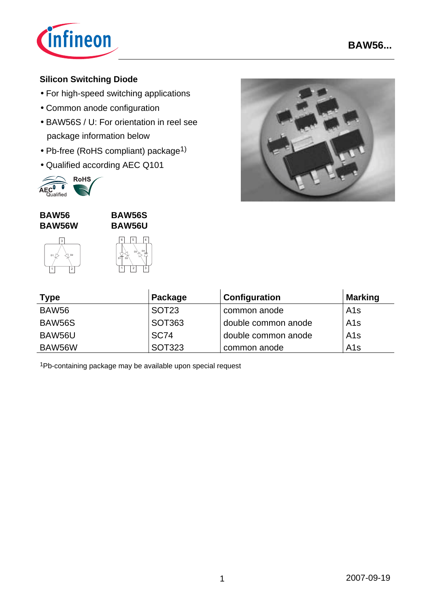

## **Silicon Switching Diode**

- For high-speed switching applications
- Common anode configuration
- BAW56S / U: For orientation in reel see package information below
- Pb-free (RoHS compliant) package1)
- Qualified according AEC Q101



#### **BAW56 BAW56W**





**BAW56S**



| <b>Type</b>       | Package           | Configuration       | <b>Marking</b>  |
|-------------------|-------------------|---------------------|-----------------|
| BAW <sub>56</sub> | SOT <sub>23</sub> | common anode        | A1s             |
| <b>BAW56S</b>     | SOT363            | double common anode | A1s             |
| BAW56U            | <b>SC74</b>       | double common anode | A1s             |
| BAW56W            | <b>SOT323</b>     | common anode        | A <sub>1s</sub> |

1Pb-containing package may be available upon special request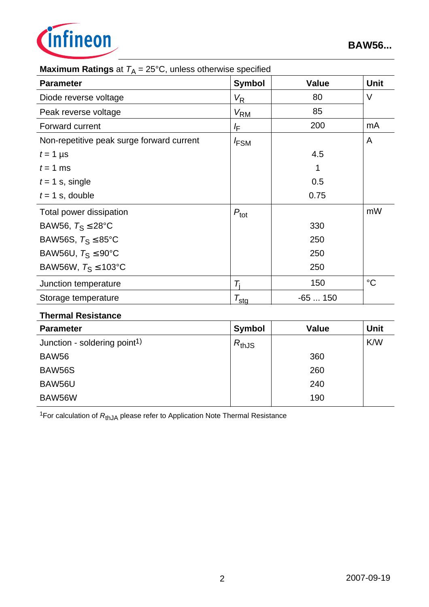

| <b>Maximum Ratings</b> at $T_A = 25^\circ$ C, unless otherwise specified |                        |              |             |  |  |  |
|--------------------------------------------------------------------------|------------------------|--------------|-------------|--|--|--|
| <b>Parameter</b>                                                         | <b>Symbol</b>          | <b>Value</b> | Unit        |  |  |  |
| Diode reverse voltage                                                    | $V_{\mathsf{R}}$       | 80           | $\vee$      |  |  |  |
| Peak reverse voltage                                                     | $V_{\mathsf{RM}}$      | 85           |             |  |  |  |
| Forward current                                                          | ΙF                     | 200          | mA          |  |  |  |
| Non-repetitive peak surge forward current                                | <b>FSM</b>             |              | A           |  |  |  |
| $t = 1$ µs                                                               |                        | 4.5          |             |  |  |  |
| $t = 1$ ms                                                               |                        |              |             |  |  |  |
| $t = 1$ s, single                                                        |                        | 0.5          |             |  |  |  |
| $t = 1$ s, double                                                        |                        | 0.75         |             |  |  |  |
| Total power dissipation                                                  | $P_{\text{tot}}$       |              | mW          |  |  |  |
| BAW56, $T_S \leq 28^{\circ}C$                                            |                        | 330          |             |  |  |  |
| BAW56S, $T_S \leq 85^{\circ}$ C                                          |                        | 250          |             |  |  |  |
| BAW56U, $T_S \leq 90^{\circ}$ C                                          |                        | 250          |             |  |  |  |
| BAW56W, $T_S \le 103^{\circ}C$                                           |                        | 250          |             |  |  |  |
| Junction temperature                                                     | $\mathcal{T}_\text{i}$ | 150          | $^{\circ}C$ |  |  |  |
| Storage temperature                                                      | $\tau_{\text{stg}}$    | $-65150$     |             |  |  |  |
|                                                                          |                        |              |             |  |  |  |

# **Maximum Ratings** at *T*A = 25°C, unless otherwise specified

#### **Thermal Resistance**

| <b>Parameter</b>                         | <b>Symbol</b> | <b>Value</b> | <b>Unit</b> |
|------------------------------------------|---------------|--------------|-------------|
| Junction - soldering point <sup>1)</sup> | $R_{thJS}$    |              | K/W         |
| BAW56                                    |               | 360          |             |
| <b>BAW56S</b>                            |               | 260          |             |
| BAW56U                                   |               | 240          |             |
| BAW56W                                   |               | 190          |             |

<sup>1</sup>For calculation of  $R_{thJA}$  please refer to Application Note Thermal Resistance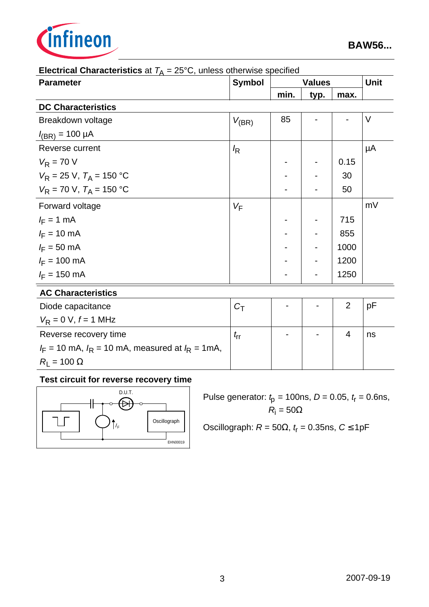

| <b>Electrical Grianacteristics</b> at $T_A = 25$ G, unless otherwise specified |                  |               |      |                |    |
|--------------------------------------------------------------------------------|------------------|---------------|------|----------------|----|
| <b>Parameter</b>                                                               | <b>Symbol</b>    | <b>Values</b> |      | <b>Unit</b>    |    |
|                                                                                |                  | min.          | typ. | max.           |    |
| <b>DC Characteristics</b>                                                      |                  |               |      |                |    |
| Breakdown voltage                                                              | $V_{(BR)}$       | 85            |      |                | V  |
| $I_{(BR)} = 100 \mu A$                                                         |                  |               |      |                |    |
| Reverse current                                                                | $\sqrt{R}$       |               |      |                | μA |
| $V_R = 70 V$                                                                   |                  |               |      | 0.15           |    |
| $V_R = 25$ V, $T_A = 150$ °C                                                   |                  |               |      | 30             |    |
| $V_R$ = 70 V, $T_A$ = 150 °C                                                   |                  |               |      | 50             |    |
| Forward voltage                                                                | $V_F$            |               |      |                | mV |
| $I_F = 1$ mA                                                                   |                  |               |      | 715            |    |
| $I_F = 10 \text{ mA}$                                                          |                  |               |      | 855            |    |
| $I_F = 50$ mA                                                                  |                  |               |      | 1000           |    |
| $I_F = 100 \text{ mA}$                                                         |                  |               |      | 1200           |    |
| $I_F = 150 \text{ mA}$                                                         |                  |               |      | 1250           |    |
| <b>AC Characteristics</b>                                                      |                  |               |      |                |    |
| Diode capacitance                                                              | $C_{\mathsf{T}}$ |               |      | $\overline{2}$ | рF |
| $V_R = 0 V, f = 1 MHz$                                                         |                  |               |      |                |    |
| Reverse recovery time                                                          | $t_{\sf rr}$     |               |      | 4              | ns |
| $I_F$ = 10 mA, $I_R$ = 10 mA, measured at $I_R$ = 1mA,                         |                  |               |      |                |    |
| $R_{\rm I} = 100 \Omega$                                                       |                  |               |      |                |    |

#### **Electrical Characteristics** at  $T_A = 25^\circ$ C, unless otherwise specified

# **Test circuit for reverse recovery time**



Pulse generator: *t* p = 100ns, *D* = 0.05, *t*r = 0.6ns,  $R_{\rm i} = 50\Omega$ 

Oscillograph:  $R = 50Ω$ ,  $t<sub>r</sub> = 0.35$ ns,  $C ≤ 1pF$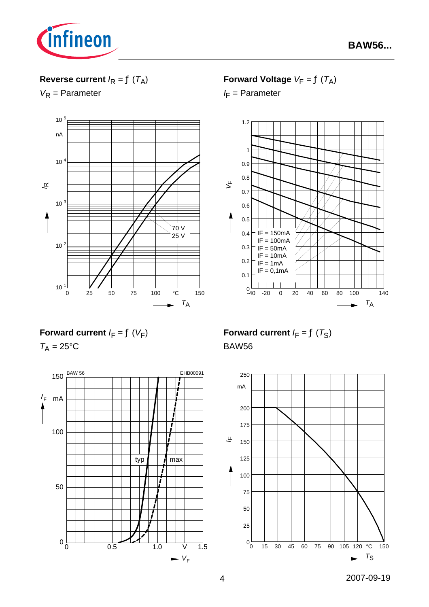

## **Reverse current**  $I_R = f(T_A)$

*V*<sub>R</sub> = Parameter



**Forward Voltage**  $V_F = f(T_A)$ 

*I*<sub>F</sub> = Parameter



**Forward current**  $I_F = f(V_F)$ 

 $T_A = 25$ °C



**Forward current**  $I_F = f(T_S)$ BAW56

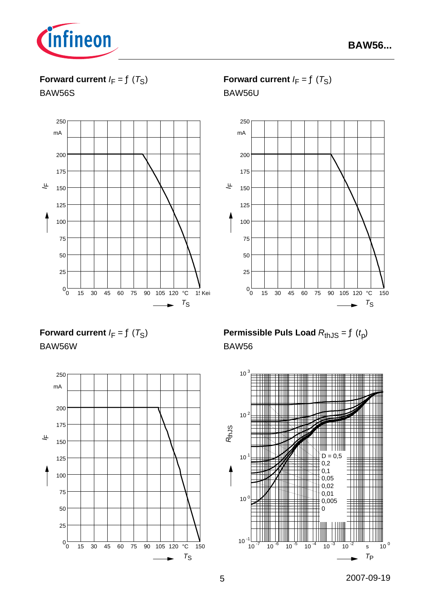

**Forward current**  $I_F = f(T_S)$ 

BAW56S



**Forward current**  $I_F = f(T_S)$ 

BAW56U



**Forward current**  $I_F = f(T_S)$ BAW56W



**Permissible Puls Load**  $R_{thJS} = f(t_p)$ BAW56

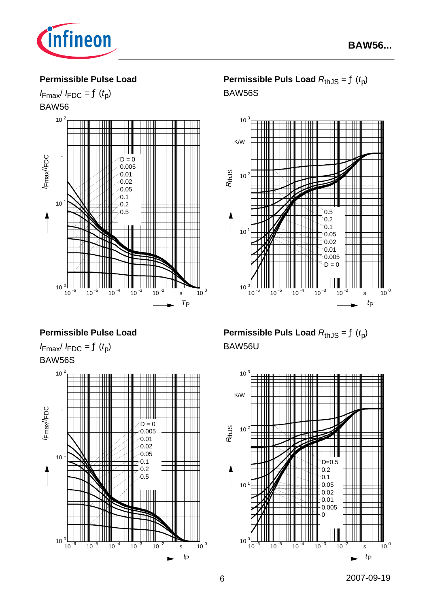

#### **Permissible Pulse Load**





**Permissible Puls Load**  $R_{thJS} = f(t_p)$ 





#### **Permissible Pulse Load**

 $I_{\text{Fmax}}/I_{\text{FDC}} = f(t_p)$ BAW56S



**Permissible Puls Load**  $R_{thJS} = f(t_p)$ BAW56U

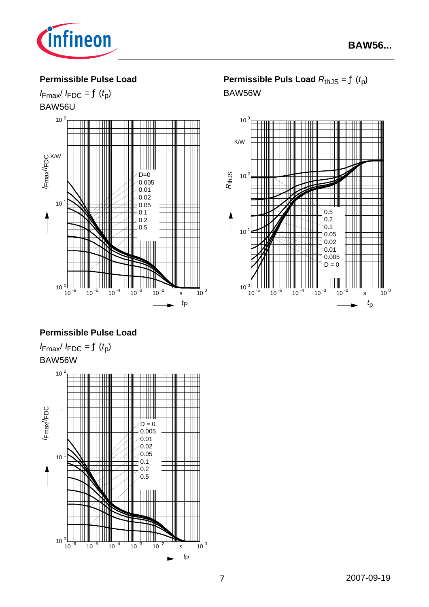

#### **Permissible Pulse Load**

## $I_{\text{Fmax}}/I_{\text{FDC}} = f(t_p)$ BAW56U



# **Permissible Puls Load**  $R_{thJS} = f(t_p)$

BAW56W



#### **Permissible Pulse Load**

 $I_{\text{Fmax}}/I_{\text{FDC}} = f(t_p)$ BAW56W

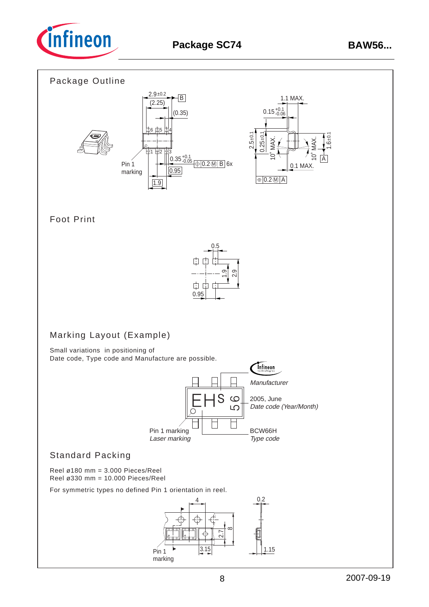

## Package Outline



## Foot Print



# Marking Layout (Example)

Small variations in positioning of Date code, Type code and Manufacture are possible.



## Standard Packing

Reel ø180 mm = 3.000 Pieces/Reel Reel ø330 mm = 10.000 Pieces/Reel

For symmetric types no defined Pin 1 orientation in reel.

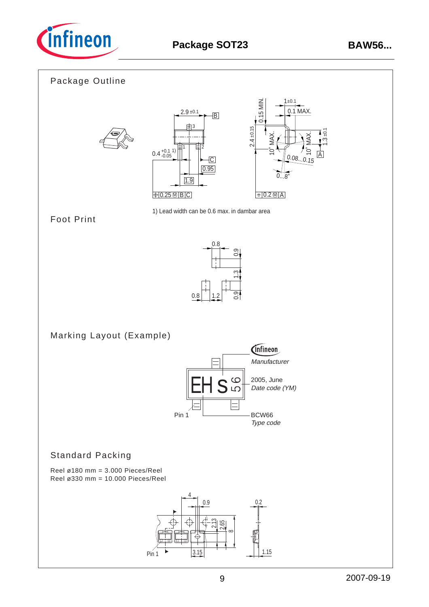

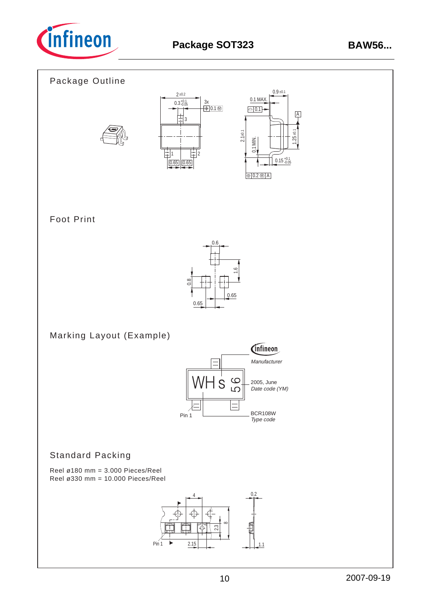

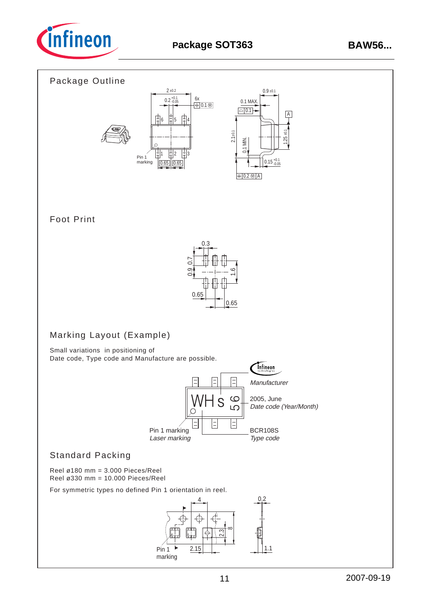